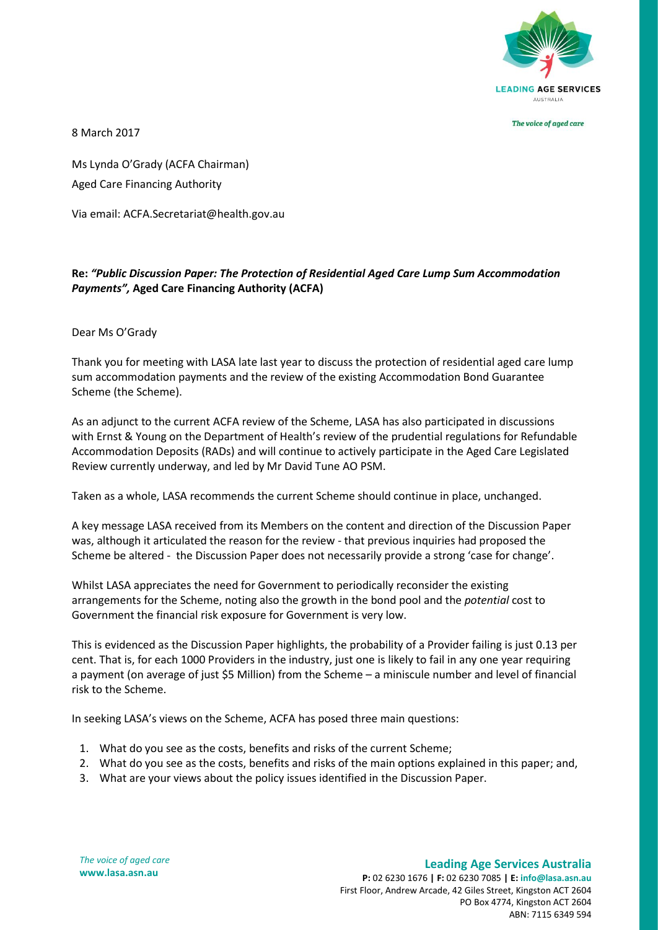

The voice of aged care

8 March 2017

Ms Lynda O'Grady (ACFA Chairman) Aged Care Financing Authority

Via email: ACFA.Secretariat@health.gov.au

## **Re:** *"Public Discussion Paper: The Protection of Residential Aged Care Lump Sum Accommodation Payments",* **Aged Care Financing Authority (ACFA)**

Dear Ms O'Grady

Thank you for meeting with LASA late last year to discuss the protection of residential aged care lump sum accommodation payments and the review of the existing Accommodation Bond Guarantee Scheme (the Scheme).

As an adjunct to the current ACFA review of the Scheme, LASA has also participated in discussions with Ernst & Young on the Department of Health's review of the prudential regulations for Refundable Accommodation Deposits (RADs) and will continue to actively participate in the Aged Care Legislated Review currently underway, and led by Mr David Tune AO PSM.

Taken as a whole, LASA recommends the current Scheme should continue in place, unchanged.

A key message LASA received from its Members on the content and direction of the Discussion Paper was, although it articulated the reason for the review - that previous inquiries had proposed the Scheme be altered - the Discussion Paper does not necessarily provide a strong 'case for change'.

Whilst LASA appreciates the need for Government to periodically reconsider the existing arrangements for the Scheme, noting also the growth in the bond pool and the *potential* cost to Government the financial risk exposure for Government is very low.

This is evidenced as the Discussion Paper highlights, the probability of a Provider failing is just 0.13 per cent. That is, for each 1000 Providers in the industry, just one is likely to fail in any one year requiring a payment (on average of just \$5 Million) from the Scheme – a miniscule number and level of financial risk to the Scheme.

In seeking LASA's views on the Scheme, ACFA has posed three main questions:

- 1. What do you see as the costs, benefits and risks of the current Scheme;
- 2. What do you see as the costs, benefits and risks of the main options explained in this paper; and,
- 3. What are your views about the policy issues identified in the Discussion Paper.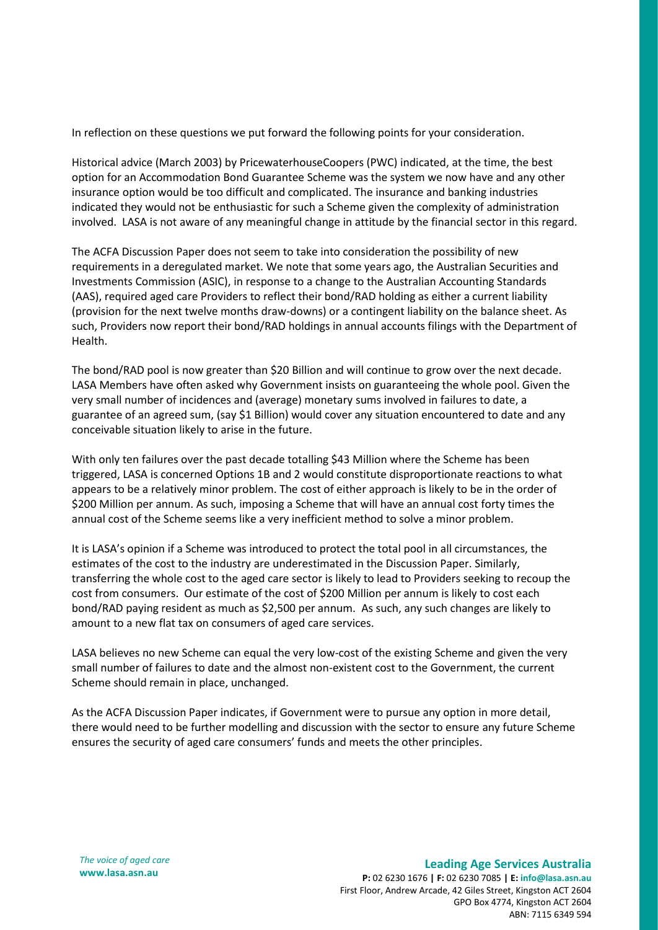In reflection on these questions we put forward the following points for your consideration.

Historical advice (March 2003) by PricewaterhouseCoopers (PWC) indicated, at the time, the best option for an Accommodation Bond Guarantee Scheme was the system we now have and any other insurance option would be too difficult and complicated. The insurance and banking industries indicated they would not be enthusiastic for such a Scheme given the complexity of administration involved. LASA is not aware of any meaningful change in attitude by the financial sector in this regard.

The ACFA Discussion Paper does not seem to take into consideration the possibility of new requirements in a deregulated market. We note that some years ago, the Australian Securities and Investments Commission (ASIC), in response to a change to the Australian Accounting Standards (AAS), required aged care Providers to reflect their bond/RAD holding as either a current liability (provision for the next twelve months draw-downs) or a contingent liability on the balance sheet. As such, Providers now report their bond/RAD holdings in annual accounts filings with the Department of Health.

The bond/RAD pool is now greater than \$20 Billion and will continue to grow over the next decade. LASA Members have often asked why Government insists on guaranteeing the whole pool. Given the very small number of incidences and (average) monetary sums involved in failures to date, a guarantee of an agreed sum, (say \$1 Billion) would cover any situation encountered to date and any conceivable situation likely to arise in the future.

With only ten failures over the past decade totalling \$43 Million where the Scheme has been triggered, LASA is concerned Options 1B and 2 would constitute disproportionate reactions to what appears to be a relatively minor problem. The cost of either approach is likely to be in the order of \$200 Million per annum. As such, imposing a Scheme that will have an annual cost forty times the annual cost of the Scheme seems like a very inefficient method to solve a minor problem.

It is LASA's opinion if a Scheme was introduced to protect the total pool in all circumstances, the estimates of the cost to the industry are underestimated in the Discussion Paper. Similarly, transferring the whole cost to the aged care sector is likely to lead to Providers seeking to recoup the cost from consumers. Our estimate of the cost of \$200 Million per annum is likely to cost each bond/RAD paying resident as much as \$2,500 per annum. As such, any such changes are likely to amount to a new flat tax on consumers of aged care services.

LASA believes no new Scheme can equal the very low-cost of the existing Scheme and given the very small number of failures to date and the almost non-existent cost to the Government, the current Scheme should remain in place, unchanged.

As the ACFA Discussion Paper indicates, if Government were to pursue any option in more detail, there would need to be further modelling and discussion with the sector to ensure any future Scheme ensures the security of aged care consumers' funds and meets the other principles.